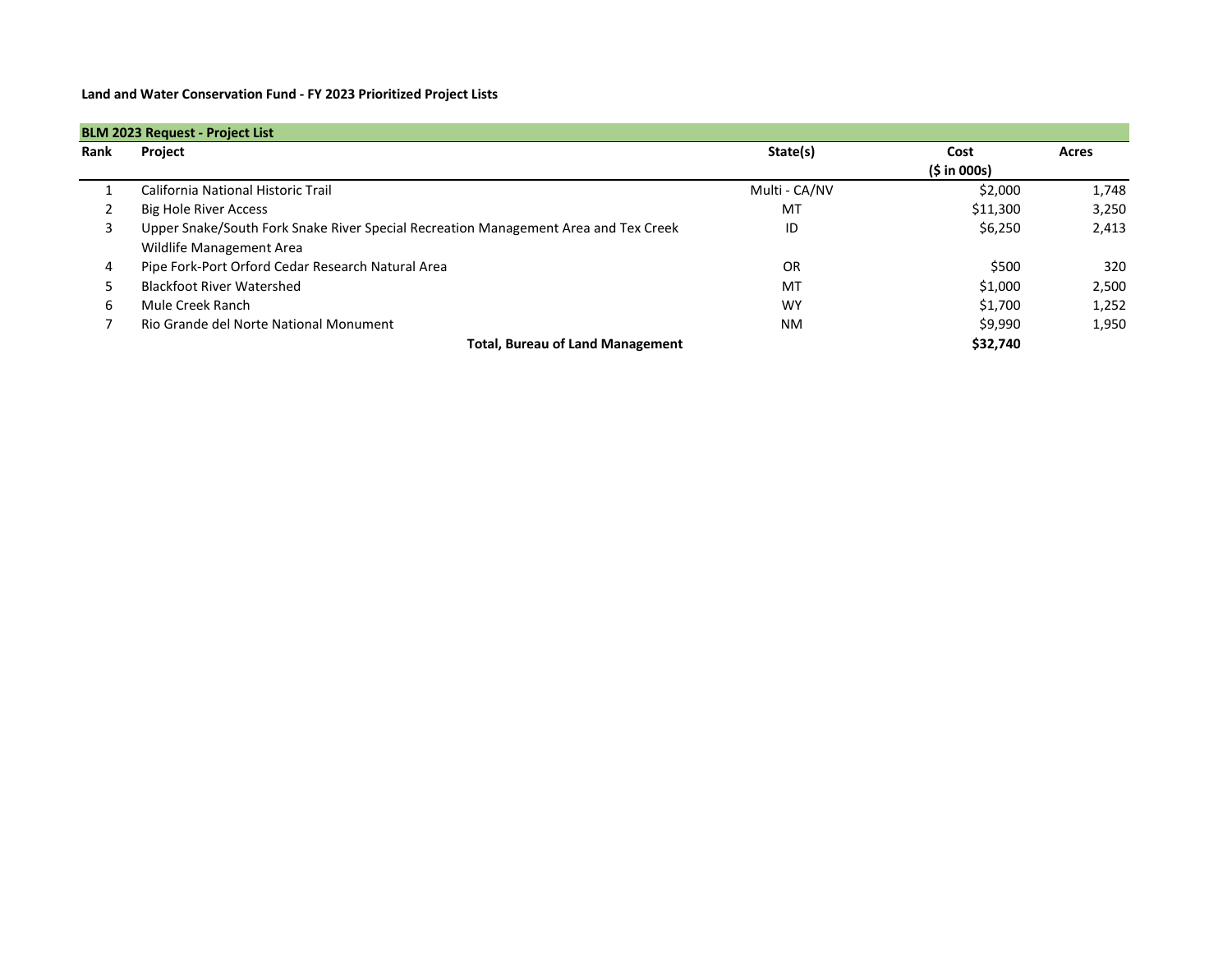**Land and Water Conservation Fund - FY 2023 Prioritized Project Lists**

| <b>BLM 2023 Request - Project List</b> |                                                                                     |               |             |       |  |  |  |
|----------------------------------------|-------------------------------------------------------------------------------------|---------------|-------------|-------|--|--|--|
| Rank                                   | Project                                                                             | State(s)      | Cost        | Acres |  |  |  |
|                                        |                                                                                     |               | (5 in 000s) |       |  |  |  |
|                                        | California National Historic Trail                                                  | Multi - CA/NV | \$2,000     | 1,748 |  |  |  |
| 2                                      | <b>Big Hole River Access</b>                                                        | MT            | \$11,300    | 3,250 |  |  |  |
| 3                                      | Upper Snake/South Fork Snake River Special Recreation Management Area and Tex Creek | ID            | \$6,250     | 2,413 |  |  |  |
|                                        | Wildlife Management Area                                                            |               |             |       |  |  |  |
| 4                                      | Pipe Fork-Port Orford Cedar Research Natural Area                                   | <b>OR</b>     | \$500       | 320   |  |  |  |
| כ                                      | <b>Blackfoot River Watershed</b>                                                    | <b>MT</b>     | \$1,000     | 2,500 |  |  |  |
| 6                                      | Mule Creek Ranch                                                                    | <b>WY</b>     | \$1,700     | 1,252 |  |  |  |
|                                        | Rio Grande del Norte National Monument                                              | <b>NM</b>     | \$9,990     | 1,950 |  |  |  |
|                                        | <b>Total, Bureau of Land Management</b>                                             |               | \$32,740    |       |  |  |  |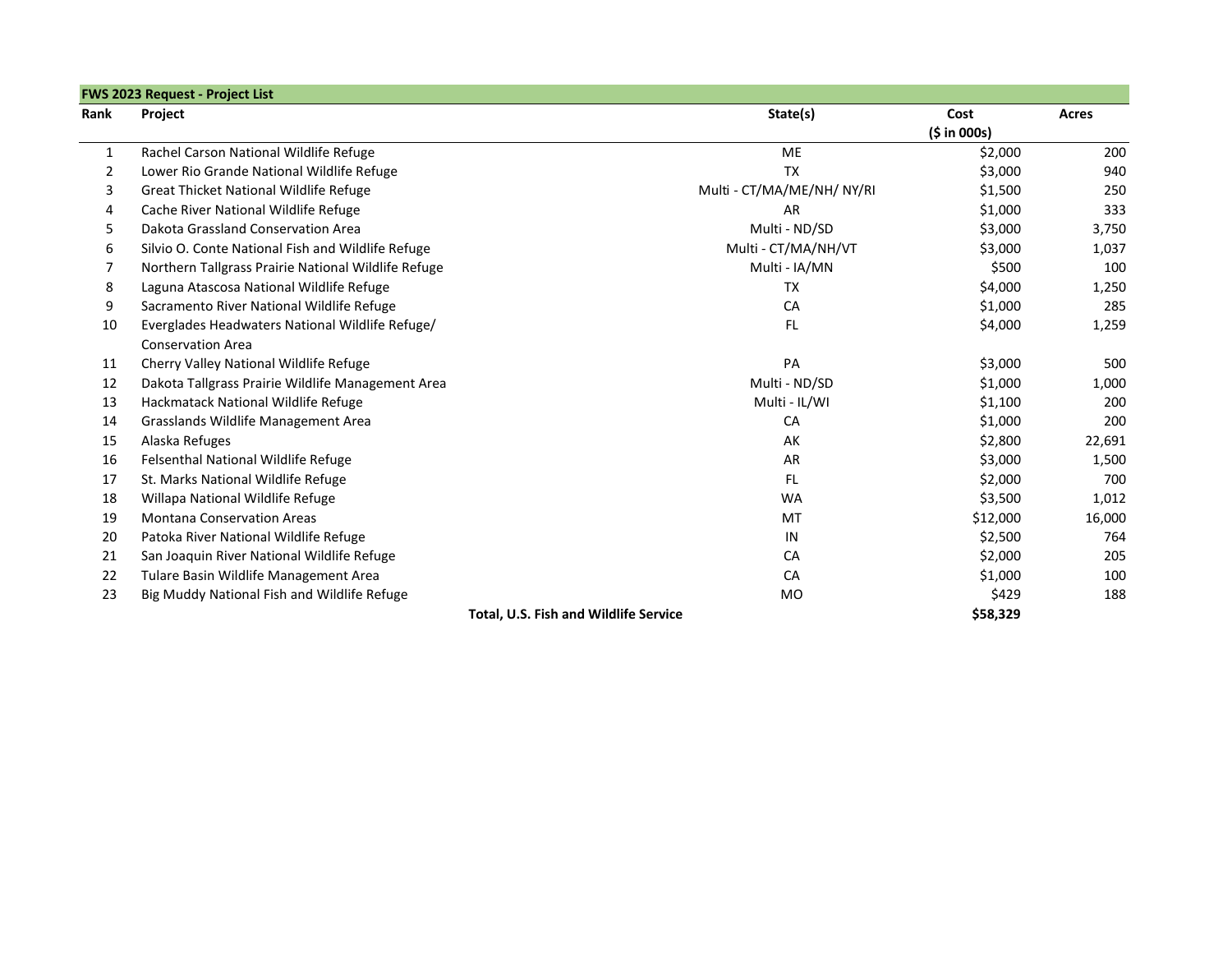|                | <b>FWS 2023 Request - Project List</b>              |                                              |             |              |
|----------------|-----------------------------------------------------|----------------------------------------------|-------------|--------------|
| Rank           | Project                                             | State(s)                                     | Cost        | <b>Acres</b> |
|                |                                                     |                                              | (5 in 000s) |              |
| $\mathbf{1}$   | Rachel Carson National Wildlife Refuge              | <b>ME</b>                                    | \$2,000     | 200          |
| $\overline{2}$ | Lower Rio Grande National Wildlife Refuge           | <b>TX</b>                                    | \$3,000     | 940          |
| 3              | <b>Great Thicket National Wildlife Refuge</b>       | Multi - CT/MA/ME/NH/ NY/RI                   | \$1,500     | 250          |
| 4              | Cache River National Wildlife Refuge                | <b>AR</b>                                    | \$1,000     | 333          |
| 5              | Dakota Grassland Conservation Area                  | Multi - ND/SD                                | \$3,000     | 3,750        |
| 6              | Silvio O. Conte National Fish and Wildlife Refuge   | Multi - CT/MA/NH/VT                          | \$3,000     | 1,037        |
| 7              | Northern Tallgrass Prairie National Wildlife Refuge | Multi - IA/MN                                | \$500       | 100          |
| 8              | Laguna Atascosa National Wildlife Refuge            | <b>TX</b>                                    | \$4,000     | 1,250        |
| 9              | Sacramento River National Wildlife Refuge           | CA                                           | \$1,000     | 285          |
| 10             | Everglades Headwaters National Wildlife Refuge/     | <b>FL</b>                                    | \$4,000     | 1,259        |
|                | <b>Conservation Area</b>                            |                                              |             |              |
| 11             | Cherry Valley National Wildlife Refuge              | PA                                           | \$3,000     | 500          |
| 12             | Dakota Tallgrass Prairie Wildlife Management Area   | Multi - ND/SD                                | \$1,000     | 1,000        |
| 13             | Hackmatack National Wildlife Refuge                 | Multi - IL/WI                                | \$1,100     | 200          |
| 14             | Grasslands Wildlife Management Area                 | CA                                           | \$1,000     | 200          |
| 15             | Alaska Refuges                                      | AK                                           | \$2,800     | 22,691       |
| 16             | Felsenthal National Wildlife Refuge                 | AR                                           | \$3,000     | 1,500        |
| 17             | St. Marks National Wildlife Refuge                  | <b>FL</b>                                    | \$2,000     | 700          |
| 18             | Willapa National Wildlife Refuge                    | <b>WA</b>                                    | \$3,500     | 1,012        |
| 19             | <b>Montana Conservation Areas</b>                   | MT                                           | \$12,000    | 16,000       |
| 20             | Patoka River National Wildlife Refuge               | $\sf IN$                                     | \$2,500     | 764          |
| 21             | San Joaquin River National Wildlife Refuge          | CA                                           | \$2,000     | 205          |
| 22             | Tulare Basin Wildlife Management Area               | CA                                           | \$1,000     | 100          |
| 23             | Big Muddy National Fish and Wildlife Refuge         | <b>MO</b>                                    | \$429       | 188          |
|                |                                                     | <b>Total, U.S. Fish and Wildlife Service</b> | \$58,329    |              |